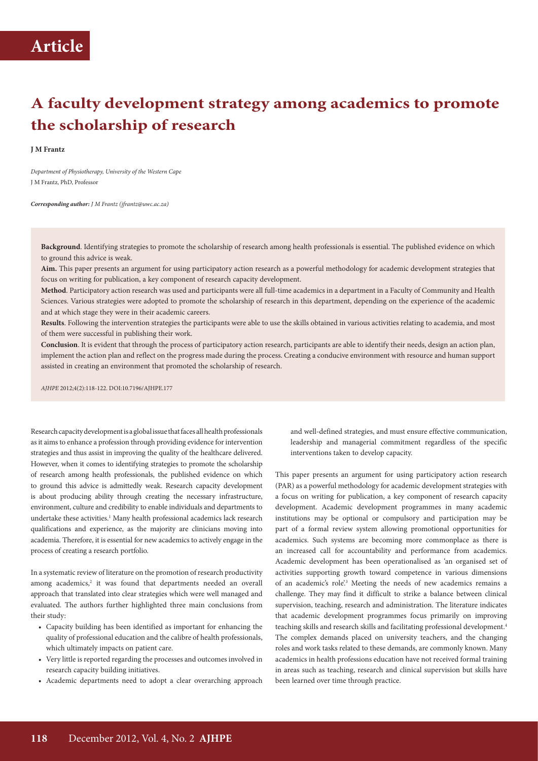# **A faculty development strategy among academics to promote the scholarship of research**

**J M Frantz**

*Department of Physiotherapy, University of the Western Cape* J M Frantz, PhD, Professor

*Corresponding author: J M Frantz (jfrantz@uwc.ac.za)*

**Background**. Identifying strategies to promote the scholarship of research among health professionals is essential. The published evidence on which to ground this advice is weak.

**Aim.** This paper presents an argument for using participatory action research as a powerful methodology for academic development strategies that focus on writing for publication, a key component of research capacity development.

**Method**. Participatory action research was used and participants were all full-time academics in a department in a Faculty of Community and Health Sciences. Various strategies were adopted to promote the scholarship of research in this department, depending on the experience of the academic and at which stage they were in their academic careers.

**Results**. Following the intervention strategies the participants were able to use the skills obtained in various activities relating to academia, and most of them were successful in publishing their work.

**Conclusion**. It is evident that through the process of participatory action research, participants are able to identify their needs, design an action plan, implement the action plan and reflect on the progress made during the process. Creating a conducive environment with resource and human support assisted in creating an environment that promoted the scholarship of research.

*AJHPE* 2012;4(2):118-122. DOI:10.7196/AJHPE.177

Research capacity development is a global issue that faces all health professionals as it aims to enhance a profession through providing evidence for intervention strategies and thus assist in improving the quality of the healthcare delivered. However, when it comes to identifying strategies to promote the scholarship of research among health professionals, the published evidence on which to ground this advice is admittedly weak. Research capacity development is about producing ability through creating the necessary infrastructure, environment, culture and credibility to enable individuals and departments to undertake these activities.<sup>1</sup> Many health professional academics lack research qualifications and experience, as the majority are clinicians moving into academia. Therefore, it is essential for new academics to actively engage in the process of creating a research portfolio.

In a systematic review of literature on the promotion of research productivity among academics,<sup>2</sup> it was found that departments needed an overall approach that translated into clear strategies which were well managed and evaluated. The authors further highlighted three main conclusions from their study:

- Capacity building has been identified as important for enhancing the quality of professional education and the calibre of health professionals, which ultimately impacts on patient care.
- Very little is reported regarding the processes and outcomes involved in research capacity building initiatives.
- Academic departments need to adopt a clear overarching approach

and well-defined strategies, and must ensure effective communication, leadership and managerial commitment regardless of the specific interventions taken to develop capacity.

This paper presents an argument for using participatory action research (PAR) as a powerful methodology for academic development strategies with a focus on writing for publication, a key component of research capacity development. Academic development programmes in many academic institutions may be optional or compulsory and participation may be part of a formal review system allowing promotional opportunities for academics. Such systems are becoming more commonplace as there is an increased call for accountability and performance from academics. Academic development has been operationalised as 'an organised set of activities supporting growth toward competence in various dimensions of an academic's role'.<sup>3</sup> Meeting the needs of new academics remains a challenge. They may find it difficult to strike a balance between clinical supervision, teaching, research and administration. The literature indicates that academic development programmes focus primarily on improving teaching skills and research skills and facilitating professional development.<sup>4</sup> The complex demands placed on university teachers, and the changing roles and work tasks related to these demands, are commonly known. Many academics in health professions education have not received formal training in areas such as teaching, research and clinical supervision but skills have been learned over time through practice.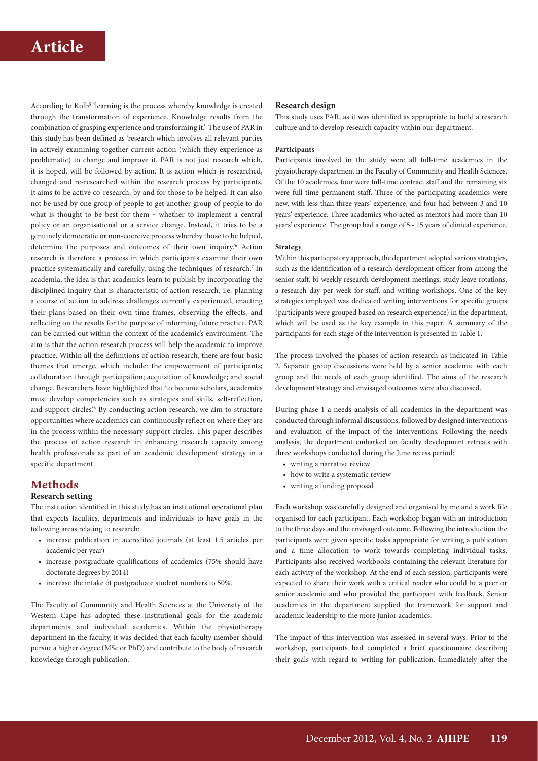# **Article**

According to Kolb<sup>5</sup> 'learning is the process whereby knowledge is created through the transformation of experience. Knowledge results from the combination of grasping experience and transforming it.' The use of PAR in this study has been defined as 'research which involves all relevant parties in actively examining together current action (which they experience as problematic) to change and improve it. PAR is not just research which, it is hoped, will be followed by action. It is action which is researched, changed and re-researched within the research process by participants. It aims to be active co-research, by and for those to be helped. It can also not be used by one group of people to get another group of people to do what is thought to be best for them - whether to implement a central policy or an organisational or a service change. Instead, it tries to be a genuinely democratic or non-coercive process whereby those to be helped, determine the purposes and outcomes of their own inquiry.'6 Action research is therefore a process in which participants examine their own practice systematically and carefully, using the techniques of research.<sup>7</sup> In academia, the idea is that academics learn to publish by incorporating the disciplined inquiry that is characteristic of action research, i.e. planning a course of action to address challenges currently experienced, enacting their plans based on their own time frames, observing the effects, and reflecting on the results for the purpose of informing future practice. PAR can be carried out within the context of the academic's environment. The aim is that the action research process will help the academic to improve practice. Within all the definitions of action research, there are four basic themes that emerge, which include: the empowerment of participants; collaboration through participation; acquisition of knowledge; and social change. Researchers have highlighted that 'to become scholars, academics must develop competencies such as strategies and skills, self-reflection, and support circles'.<sup>8</sup> By conducting action research, we aim to structure opportunities where academics can continuously reflect on where they are in the process within the necessary support circles. This paper describes the process of action research in enhancing research capacity among health professionals as part of an academic development strategy in a specific department.

## **Methods**

### **Research setting**

The institution identified in this study has an institutional operational plan that expects faculties, departments and individuals to have goals in the following areas relating to research:

- increase publication in accredited journals (at least 1.5 articles per academic per year)
- increase postgraduate qualifications of academics (75% should have doctorate degrees by 2014)
- increase the intake of postgraduate student numbers to 50%.

The Faculty of Community and Health Sciences at the University of the Western Cape has adopted these institutional goals for the academic departments and individual academics. Within the physiotherapy department in the faculty, it was decided that each faculty member should pursue a higher degree (MSc or PhD) and contribute to the body of research knowledge through publication.

### **Research design**

This study uses PAR, as it was identified as appropriate to build a research culture and to develop research capacity within our department.

#### **Participants**

Participants involved in the study were all full-time academics in the physiotherapy department in the Faculty of Community and Health Sciences. Of the 10 academics, four were full-time contract staff and the remaining six were full-time permanent staff. Three of the participating academics were new, with less than three years' experience, and four had between 3 and 10 years' experience. Three academics who acted as mentors had more than 10 years' experience. The group had a range of 5 - 15 years of clinical experience.

#### **Strategy**

Within this participatory approach, the department adopted various strategies, such as the identification of a research development officer from among the senior staff, bi-weekly research development meetings, study leave rotations, a research day per week for staff, and writing workshops. One of the key strategies employed was dedicated writing interventions for specific groups (participants were grouped based on research experience) in the department, which will be used as the key example in this paper. A summary of the participants for each stage of the intervention is presented in Table 1.

The process involved the phases of action research as indicated in Table 2. Separate group discussions were held by a senior academic with each group and the needs of each group identified. The aims of the research development strategy and envisaged outcomes were also discussed.

During phase 1 a needs analysis of all academics in the department was conducted through informal discussions, followed by designed interventions and evaluation of the impact of the interventions. Following the needs analysis, the department embarked on faculty development retreats with three workshops conducted during the June recess period:

- writing a narrative review
- how to write a systematic review
- writing a funding proposal.

Each workshop was carefully designed and organised by me and a work file organised for each participant. Each workshop began with an introduction to the three days and the envisaged outcome. Following the introduction the participants were given specific tasks appropriate for writing a publication and a time allocation to work towards completing individual tasks. Participants also received workbooks containing the relevant literature for each activity of the workshop. At the end of each session, participants were expected to share their work with a critical reader who could be a peer or senior academic and who provided the participant with feedback. Senior academics in the department supplied the framework for support and academic leadership to the more junior academics.

The impact of this intervention was assessed in several ways. Prior to the workshop, participants had completed a brief questionnaire describing their goals with regard to writing for publication. Immediately after the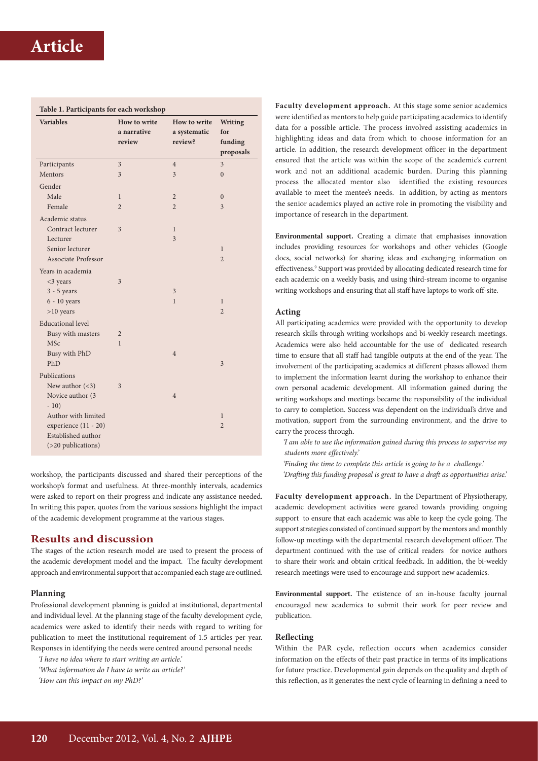| Table 1. Participants for each workshop                                                                                                                   |                                       |                                         |                                               |  |  |
|-----------------------------------------------------------------------------------------------------------------------------------------------------------|---------------------------------------|-----------------------------------------|-----------------------------------------------|--|--|
| <b>Variables</b>                                                                                                                                          | How to write<br>a narrative<br>review | How to write<br>a systematic<br>review? | <b>Writing</b><br>for<br>funding<br>proposals |  |  |
| Participants                                                                                                                                              | 3                                     | $\overline{4}$                          | 3                                             |  |  |
| Mentors                                                                                                                                                   | 3                                     | 3                                       | $\Omega$                                      |  |  |
| Gender                                                                                                                                                    |                                       |                                         |                                               |  |  |
| Male                                                                                                                                                      | $\mathbf{1}$                          | $\overline{2}$                          | $\overline{0}$                                |  |  |
| Female                                                                                                                                                    | $\overline{2}$                        | $\overline{2}$                          | 3                                             |  |  |
| Academic status<br>Contract lecturer<br>Lecturer<br>Senior lecturer<br>Associate Professor                                                                | 3                                     | $\mathbf{1}$<br>3                       | $\mathbf{1}$<br>$\overline{c}$                |  |  |
| Years in academia<br><3 years<br>$3 - 5$ years<br>$6 - 10$ years<br>$>10$ years                                                                           | 3                                     | 3<br>$\mathbf{1}$                       | $\mathbf{1}$<br>$\overline{2}$                |  |  |
| <b>Educational level</b><br>Busy with masters<br><b>MSc</b><br>Busy with PhD<br>PhD                                                                       | $\overline{2}$<br>$\mathbf{1}$        | $\overline{4}$                          | 3                                             |  |  |
| Publications<br>New author $(3)$<br>Novice author (3<br>$-10)$<br>Author with limited<br>experience (11 - 20)<br>Established author<br>(>20 publications) | 3                                     | $\overline{4}$                          | $\mathbf{1}$<br>$\overline{2}$                |  |  |

workshop, the participants discussed and shared their perceptions of the workshop's format and usefulness. At three-monthly intervals, academics were asked to report on their progress and indicate any assistance needed. In writing this paper, quotes from the various sessions highlight the impact of the academic development programme at the various stages.

# **Results and discussion**

The stages of the action research model are used to present the process of the academic development model and the impact. The faculty development approach and environmental support that accompanied each stage are outlined.

#### **Planning**

Professional development planning is guided at institutional, departmental and individual level. At the planning stage of the faculty development cycle, academics were asked to identify their needs with regard to writing for publication to meet the institutional requirement of 1.5 articles per year. Responses in identifying the needs were centred around personal needs:

*'I have no idea where to start writing an article.'*

*'What information do I have to write an article?'*

*'How can this impact on my PhD?'*

**Faculty development approach.** At this stage some senior academics were identified as mentors to help guide participating academics to identify data for a possible article. The process involved assisting academics in highlighting ideas and data from which to choose information for an article. In addition, the research development officer in the department ensured that the article was within the scope of the academic's current work and not an additional academic burden. During this planning process the allocated mentor also identified the existing resources available to meet the mentee's needs. In addition, by acting as mentors the senior academics played an active role in promoting the visibility and importance of research in the department.

**Environmental support.** Creating a climate that emphasises innovation includes providing resources for workshops and other vehicles (Google docs, social networks) for sharing ideas and exchanging information on effectiveness.<sup>9</sup> Support was provided by allocating dedicated research time for each academic on a weekly basis, and using third-stream income to organise writing workshops and ensuring that all staff have laptops to work off-site.

### **Acting**

All participating academics were provided with the opportunity to develop research skills through writing workshops and bi-weekly research meetings. Academics were also held accountable for the use of dedicated research time to ensure that all staff had tangible outputs at the end of the year. The involvement of the participating academics at different phases allowed them to implement the information learnt during the workshop to enhance their own personal academic development. All information gained during the writing workshops and meetings became the responsibility of the individual to carry to completion. Success was dependent on the individual's drive and motivation, support from the surrounding environment, and the drive to carry the process through.

*'I am able to use the information gained during this process to supervise my students more effectively.'* 

*'Finding the time to complete this article is going to be a challenge.'*

*'Drafting this funding proposal is great to have a draft as opportunities arise.'*

**Faculty development approach.** In the Department of Physiotherapy, academic development activities were geared towards providing ongoing support to ensure that each academic was able to keep the cycle going. The support strategies consisted of continued support by the mentors and monthly follow-up meetings with the departmental research development officer. The department continued with the use of critical readers for novice authors to share their work and obtain critical feedback. In addition, the bi-weekly research meetings were used to encourage and support new academics.

**Environmental support.** The existence of an in-house faculty journal encouraged new academics to submit their work for peer review and publication.

#### **Reflecting**

Within the PAR cycle, reflection occurs when academics consider information on the effects of their past practice in terms of its implications for future practice. Developmental gain depends on the quality and depth of this reflection, as it generates the next cycle of learning in defining a need to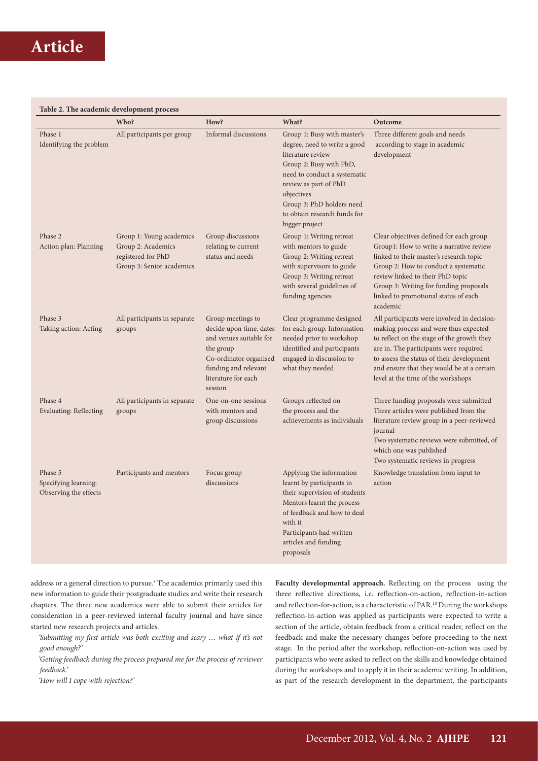#### **Table 2. The academic development process**

|                                                          | Who?                                                                                              | How?                                                                                                                                                                     | What?                                                                                                                                                                                                                                                             | Outcome                                                                                                                                                                                                                                                                                                       |
|----------------------------------------------------------|---------------------------------------------------------------------------------------------------|--------------------------------------------------------------------------------------------------------------------------------------------------------------------------|-------------------------------------------------------------------------------------------------------------------------------------------------------------------------------------------------------------------------------------------------------------------|---------------------------------------------------------------------------------------------------------------------------------------------------------------------------------------------------------------------------------------------------------------------------------------------------------------|
| Phase 1<br>Identifying the problem                       | All participants per group                                                                        | Informal discussions                                                                                                                                                     | Group 1: Busy with master's<br>degree, need to write a good<br>literature review<br>Group 2: Busy with PhD,<br>need to conduct a systematic<br>review as part of PhD<br>objectives<br>Group 3: PhD holders need<br>to obtain research funds for<br>bigger project | Three different goals and needs<br>according to stage in academic<br>development                                                                                                                                                                                                                              |
| Phase 2<br>Action plan: Planning                         | Group 1: Young academics<br>Group 2: Academics<br>registered for PhD<br>Group 3: Senior academics | Group discussions<br>relating to current<br>status and needs                                                                                                             | Group 1: Writing retreat<br>with mentors to guide<br>Group 2: Writing retreat<br>with supervisors to guide<br>Group 3: Writing retreat<br>with several guidelines of<br>funding agencies                                                                          | Clear objectives defined for each group<br>Group1: How to write a narrative review<br>linked to their master's research topic<br>Group 2: How to conduct a systematic<br>review linked to their PhD topic<br>Group 3: Writing for funding proposals<br>linked to promotional status of each<br>academic       |
| Phase 3<br>Taking action: Acting                         | All participants in separate<br>groups                                                            | Group meetings to<br>decide upon time, dates<br>and venues suitable for<br>the group<br>Co-ordinator organised<br>funding and relevant<br>literature for each<br>session | Clear programme designed<br>for each group. Information<br>needed prior to workshop<br>identified and participants<br>engaged in discussion to<br>what they needed                                                                                                | All participants were involved in decision-<br>making process and were thus expected<br>to reflect on the stage of the growth they<br>are in. The participants were required<br>to assess the status of their development<br>and ensure that they would be at a certain<br>level at the time of the workshops |
| Phase 4<br>Evaluating: Reflecting                        | All participants in separate<br>groups                                                            | One-on-one sessions<br>with mentors and<br>group discussions                                                                                                             | Groups reflected on<br>the process and the<br>achievements as individuals                                                                                                                                                                                         | Three funding proposals were submitted<br>Three articles were published from the<br>literature review group in a peer-reviewed<br>journal<br>Two systematic reviews were submitted, of<br>which one was published<br>Two systematic reviews in progress                                                       |
| Phase 5<br>Specifying learning:<br>Observing the effects | Participants and mentors                                                                          | Focus group<br>discussions                                                                                                                                               | Applying the information<br>learnt by participants in<br>their supervision of students<br>Mentors learnt the process<br>of feedback and how to deal<br>with it<br>Participants had written<br>articles and funding<br>proposals                                   | Knowledge translation from input to<br>action                                                                                                                                                                                                                                                                 |

address or a general direction to pursue.<sup>9</sup> The academics primarily used this new information to guide their postgraduate studies and write their research chapters. The three new academics were able to submit their articles for consideration in a peer-reviewed internal faculty journal and have since started new research projects and articles.

*'Submitting my first article was both exciting and scary … what if it's not good enough?'*

*'Getting feedback during the process prepared me for the process of reviewer feedback.'*

*'How will I cope with rejection?'*

**Faculty developmental approach.** Reflecting on the process using the three reflective directions, i.e. reflection-on-action, reflection-in-action and reflection-for-action, is a characteristic of PAR.<sup>10</sup> During the workshops reflection-in-action was applied as participants were expected to write a section of the article, obtain feedback from a critical reader, reflect on the feedback and make the necessary changes before proceeding to the next stage. In the period after the workshop, reflection-on-action was used by participants who were asked to reflect on the skills and knowledge obtained during the workshops and to apply it in their academic writing. In addition, as part of the research development in the department, the participants